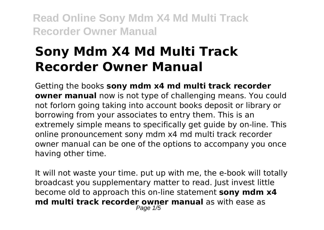# **Sony Mdm X4 Md Multi Track Recorder Owner Manual**

Getting the books **sony mdm x4 md multi track recorder owner manual** now is not type of challenging means. You could not forlorn going taking into account books deposit or library or borrowing from your associates to entry them. This is an extremely simple means to specifically get guide by on-line. This online pronouncement sony mdm x4 md multi track recorder owner manual can be one of the options to accompany you once having other time.

It will not waste your time. put up with me, the e-book will totally broadcast you supplementary matter to read. Just invest little become old to approach this on-line statement **sony mdm x4 md multi track recorder owner manual** as with ease as Page 1/5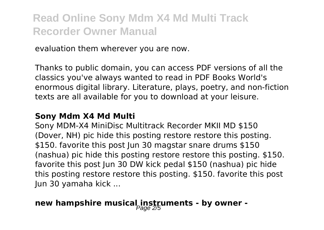evaluation them wherever you are now.

Thanks to public domain, you can access PDF versions of all the classics you've always wanted to read in PDF Books World's enormous digital library. Literature, plays, poetry, and non-fiction texts are all available for you to download at your leisure.

#### **Sony Mdm X4 Md Multi**

Sony MDM-X4 MiniDisc Multitrack Recorder MKII MD \$150 (Dover, NH) pic hide this posting restore restore this posting. \$150. favorite this post Jun 30 magstar snare drums \$150 (nashua) pic hide this posting restore restore this posting. \$150. favorite this post Jun 30 DW kick pedal \$150 (nashua) pic hide this posting restore restore this posting. \$150. favorite this post Jun 30 yamaha kick ...

### new hampshire musical instruments - by owner -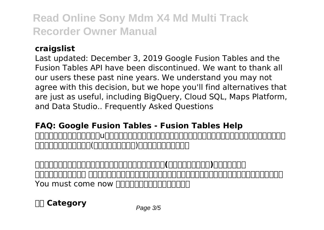#### **craigslist**

Last updated: December 3, 2019 Google Fusion Tables and the Fusion Tables API have been discontinued. We want to thank all our users these past nine years. We understand you may not agree with this decision, but we hope you'll find alternatives that are just as useful, including BigQuery, Cloud SQL, Maps Platform, and Data Studio.. Frequently Asked Questions

#### **FAQ: Google Fusion Tables - Fusion Tables Help**

オーセンティックワークスは、u理論、成人発達理論、インテグラル理論等、変革と創造に関するテクノロジーを活用し <u>odgeboorgenaar (anggeboorgenaargenaargenaargenaargenaargenaargenaargenaargenaargenaargenaargenaargenaargenaarg</u>

**オーセンティックワークス株式会社|リーダーシップと共創造(コ・クリエイション)をプロデュース** フランス マンド アンドリー アンドリー アンドリー アンドリー アンドリー アンドリー アンドリー アンドリー アンドリー アンドリー アンドリー アンドリー アンドリー アンドリー アンドリー アンドリー アンドリー アンドリー アンドリー アンドリー アンドリー アンドリー アンドリー アンドリー アンドリー アンドリー アンドリー アンドリー アンドリー アンドリー アンドリー アンドリー アンドリー アンドリー アンドリー アンドリ You must come now nonnonononononon

**Category** Page 3/5